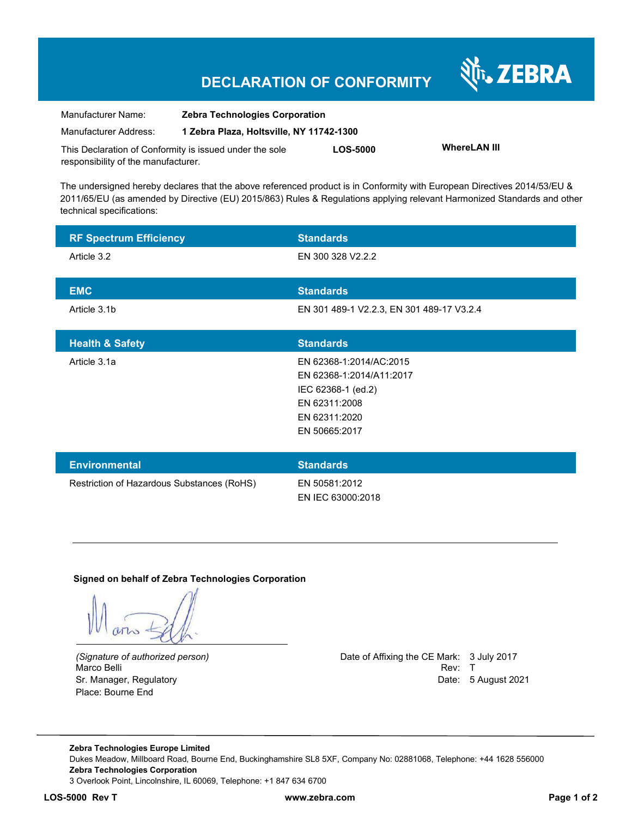## **DECLARATION OF CONFORMITY**

N<sub>i</sub>, ZEBRA

| Manufacturer Name:                                      | <b>Zebra Technologies Corporation</b>    |                 |                     |  |
|---------------------------------------------------------|------------------------------------------|-----------------|---------------------|--|
| Manufacturer Address:                                   | 1 Zebra Plaza, Holtsville, NY 11742-1300 |                 |                     |  |
| This Declaration of Conformity is issued under the sole |                                          | <b>LOS-5000</b> | <b>WhereLAN III</b> |  |
| responsibility of the manufacturer.                     |                                          |                 |                     |  |

The undersigned hereby declares that the above referenced product is in Conformity with European Directives 2014/53/EU & 2011/65/EU (as amended by Directive (EU) 2015/863) Rules & Regulations applying relevant Harmonized Standards and other technical specifications:

| <b>RF Spectrum Efficiency</b>              | <b>Standards</b>                          |
|--------------------------------------------|-------------------------------------------|
| Article 3.2                                | EN 300 328 V2.2.2                         |
|                                            |                                           |
| <b>EMC</b>                                 | <b>Standards</b>                          |
| Article 3.1b                               | EN 301 489-1 V2.2.3, EN 301 489-17 V3.2.4 |
|                                            |                                           |
| <b>Health &amp; Safety</b>                 | <b>Standards</b>                          |
| Article 3.1a                               | EN 62368-1:2014/AC:2015                   |
|                                            | EN 62368-1:2014/A11:2017                  |
|                                            | IEC 62368-1 (ed.2)                        |
|                                            | EN 62311:2008                             |
|                                            | EN 62311:2020                             |
|                                            | EN 50665:2017                             |
|                                            |                                           |
| <b>Environmental</b>                       | <b>Standards</b>                          |
| Restriction of Hazardous Substances (RoHS) | EN 50581:2012                             |
|                                            | EN IEC 63000:2018                         |

**Signed on behalf of Zebra Technologies Corporation** 

Place: Bourne End

*(Signature of authorized person)* Date of Affixing the CE Mark: 3 July 2017 Marco Belli Rev: T Sr. Manager, Regulatory **Date: 5 August 2021** 

**Zebra Technologies Europe Limited**  Dukes Meadow, Millboard Road, Bourne End, Buckinghamshire SL8 5XF, Company No: 02881068, Telephone: +44 1628 556000 **Zebra Technologies Corporation**  3 Overlook Point, Lincolnshire, IL 60069, Telephone: +1 847 634 6700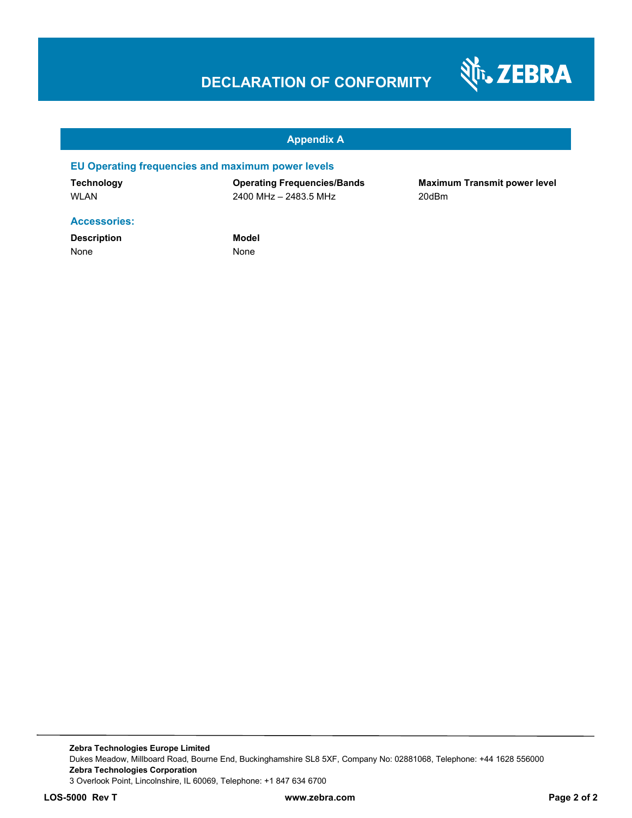## **DECLARATION OF CONFORMITY**



#### **Appendix A**

#### **EU Operating frequencies and maximum power levels**

**Technology Operating Frequencies/Bands Maximum Transmit power level**  WLAN 2400 MHz – 2483.5 MHz 200Bm

#### **Accessories:**

**Description Model** None None